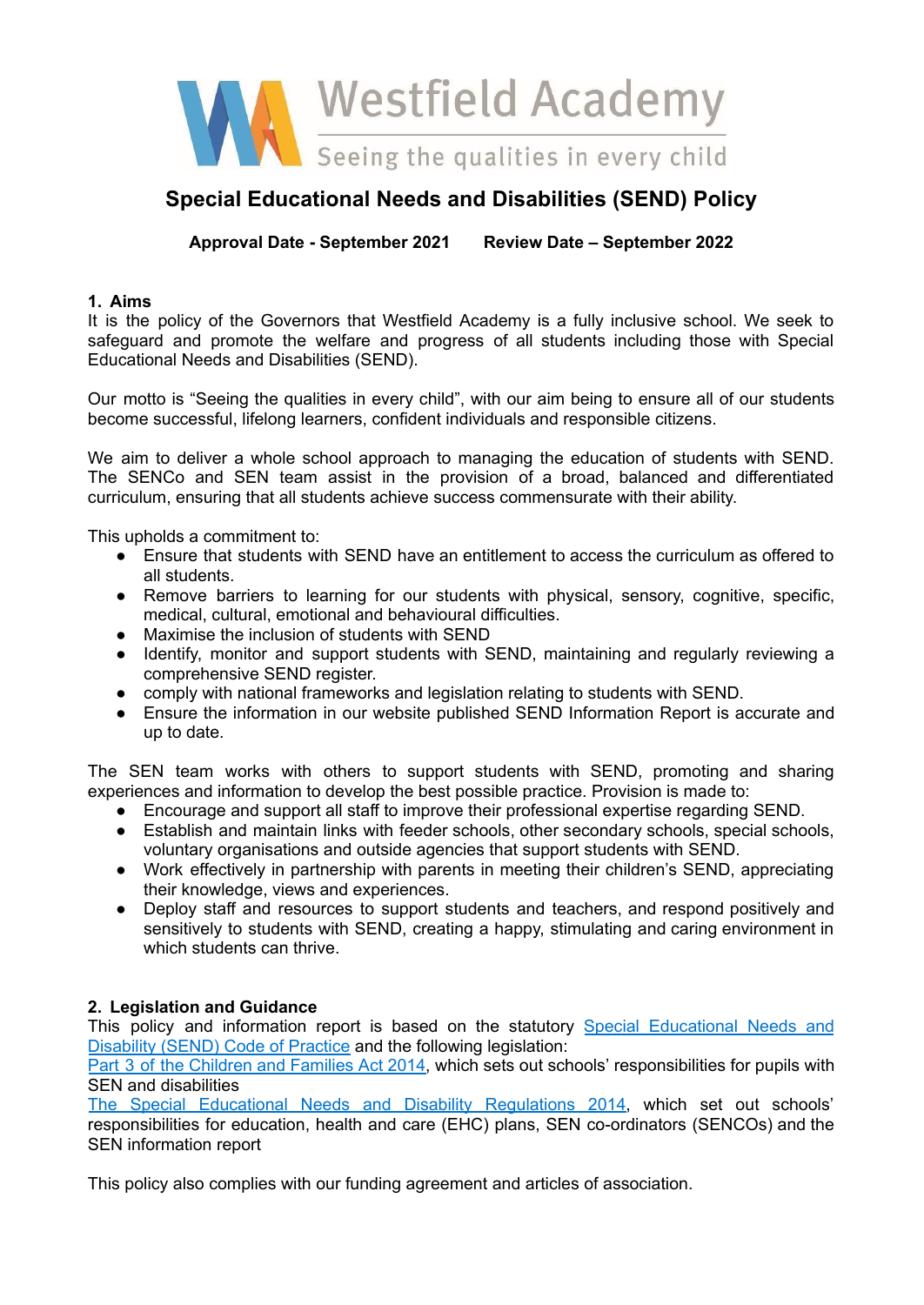

# **Special Educational Needs and Disabilities (SEND) Policy**

**Approval Date - September 2021 Review Date – September 2022**

# **1. Aims**

It is the policy of the Governors that Westfield Academy is a fully inclusive school. We seek to safeguard and promote the welfare and progress of all students including those with Special Educational Needs and Disabilities (SEND).

Our motto is "Seeing the qualities in every child", with our aim being to ensure all of our students become successful, lifelong learners, confident individuals and responsible citizens.

We aim to deliver a whole school approach to managing the education of students with SEND. The SENCo and SEN team assist in the provision of a broad, balanced and differentiated curriculum, ensuring that all students achieve success commensurate with their ability.

This upholds a commitment to:

- Ensure that students with SEND have an entitlement to access the curriculum as offered to all students.
- Remove barriers to learning for our students with physical, sensory, cognitive, specific, medical, cultural, emotional and behavioural difficulties.
- Maximise the inclusion of students with SEND
- Identify, monitor and support students with SEND, maintaining and regularly reviewing a comprehensive SEND register.
- comply with national frameworks and legislation relating to students with SEND.
- Ensure the information in our website published SEND Information Report is accurate and up to date.

The SEN team works with others to support students with SEND, promoting and sharing experiences and information to develop the best possible practice. Provision is made to:

- Encourage and support all staff to improve their professional expertise regarding SEND.
- Establish and maintain links with feeder schools, other secondary schools, special schools, voluntary organisations and outside agencies that support students with SEND.
- Work effectively in partnership with parents in meeting their children's SEND, appreciating their knowledge, views and experiences.
- Deploy staff and resources to support students and teachers, and respond positively and sensitively to students with SEND, creating a happy, stimulating and caring environment in which students can thrive.

# **2. Legislation and Guidance**

This policy and information report is based on the statutory Special [Educational](https://www.gov.uk/government/uploads/system/uploads/attachment_data/file/398815/SEND_Code_of_Practice_January_2015.pdf) Needs and [Disability](https://www.gov.uk/government/uploads/system/uploads/attachment_data/file/398815/SEND_Code_of_Practice_January_2015.pdf) (SEND) Code of Practice and the following legislation:

Part 3 of the [Children](http://www.legislation.gov.uk/ukpga/2014/6/part/3) and Families Act 2014, which sets out schools' responsibilities for pupils with SEN and disabilities

The Special Educational Needs and Disability [Regulations](http://www.legislation.gov.uk/uksi/2014/1530/contents/made) 2014, which set out schools' responsibilities for education, health and care (EHC) plans, SEN co-ordinators (SENCOs) and the SEN information report

This policy also complies with our funding agreement and articles of association.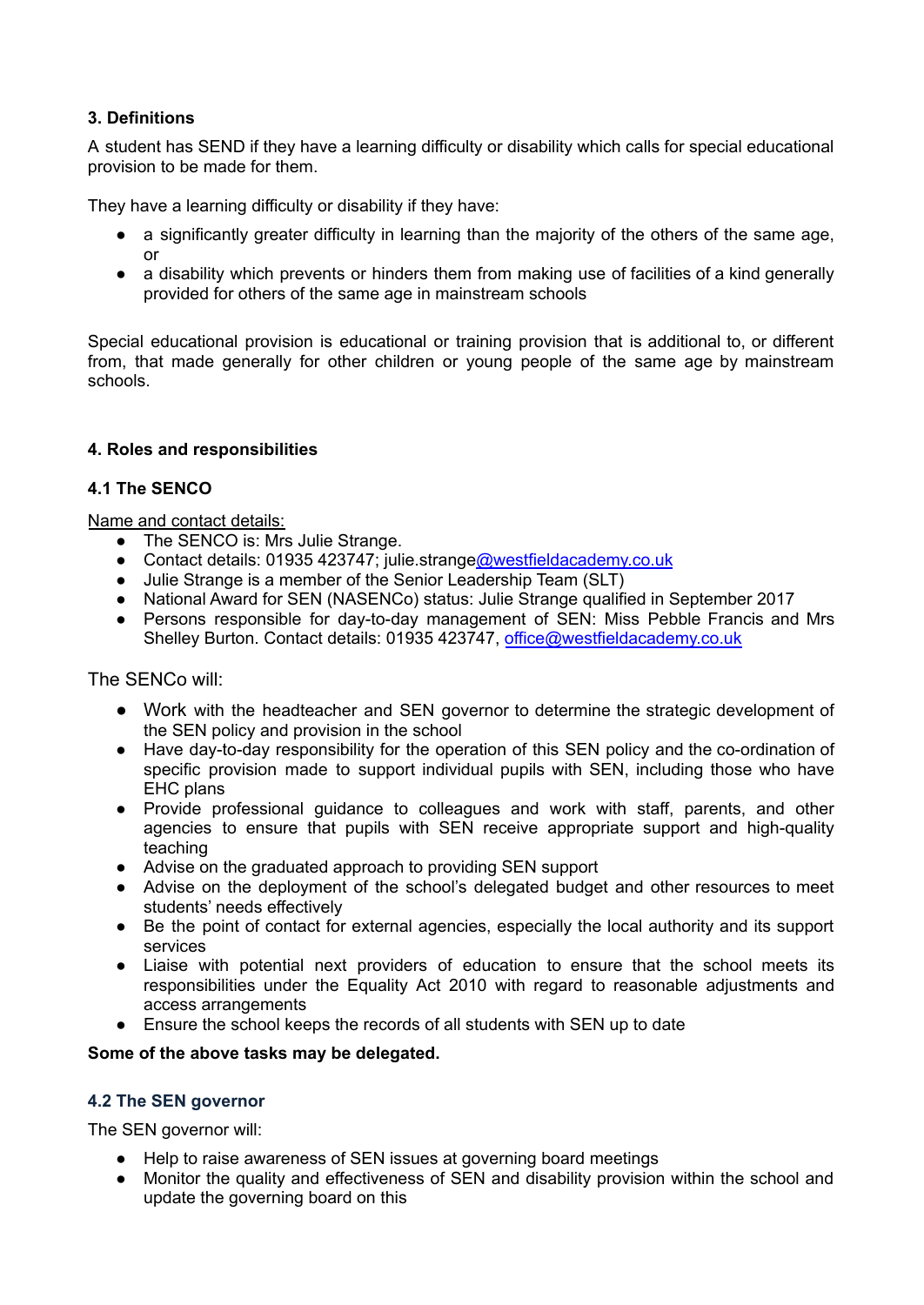# **3. Definitions**

A student has SEND if they have a learning difficulty or disability which calls for special educational provision to be made for them.

They have a learning difficulty or disability if they have:

- a significantly greater difficulty in learning than the majority of the others of the same age, or
- a disability which prevents or hinders them from making use of facilities of a kind generally provided for others of the same age in mainstream schools

Special educational provision is educational or training provision that is additional to, or different from, that made generally for other children or young people of the same age by mainstream schools.

# **4. Roles and responsibilities**

### **4.1 The SENCO**

Name and contact details:

- The SENCO is: Mrs Julie Strange.
- Contact details: 01935 423747; julie.strang[e@westfieldacademy.co.uk](mailto:office@westfieldacademy.co.uk)
- Julie Strange is a member of the Senior Leadership Team (SLT)
- National Award for SEN (NASENCo) status: Julie Strange qualified in September 2017
- Persons responsible for day-to-day management of SEN: Miss Pebble Francis and Mrs Shelley Burton. Contact details: 01935 423747, [office@westfieldacademy.co.uk](mailto:office@westfieldacademy.co.uk)

The SENCo will:

- Work with the headteacher and SEN governor to determine the strategic development of the SEN policy and provision in the school
- Have day-to-day responsibility for the operation of this SEN policy and the co-ordination of specific provision made to support individual pupils with SEN, including those who have EHC plans
- Provide professional guidance to colleagues and work with staff, parents, and other agencies to ensure that pupils with SEN receive appropriate support and high-quality teaching
- Advise on the graduated approach to providing SEN support
- Advise on the deployment of the school's delegated budget and other resources to meet students' needs effectively
- Be the point of contact for external agencies, especially the local authority and its support services
- Liaise with potential next providers of education to ensure that the school meets its responsibilities under the Equality Act 2010 with regard to reasonable adjustments and access arrangements
- Ensure the school keeps the records of all students with SEN up to date

#### **Some of the above tasks may be delegated.**

#### **4.2 The SEN governor**

The SEN governor will:

- Help to raise awareness of SEN issues at governing board meetings
- Monitor the quality and effectiveness of SEN and disability provision within the school and update the governing board on this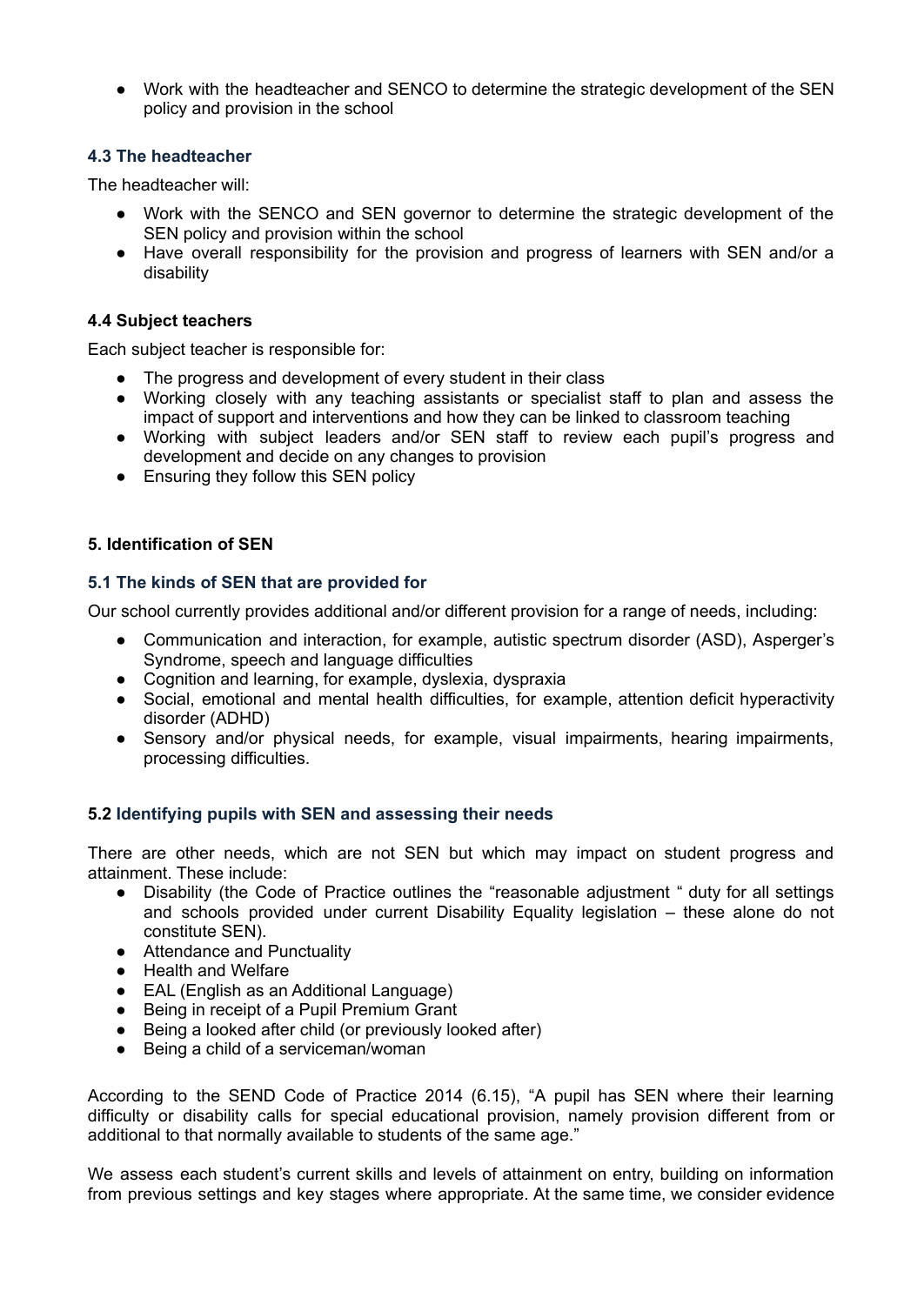● Work with the headteacher and SENCO to determine the strategic development of the SEN policy and provision in the school

# **4.3 The headteacher**

The headteacher will:

- Work with the SENCO and SEN governor to determine the strategic development of the SEN policy and provision within the school
- Have overall responsibility for the provision and progress of learners with SEN and/or a disability

### **4.4 Subject teachers**

Each subject teacher is responsible for:

- The progress and development of every student in their class
- Working closely with any teaching assistants or specialist staff to plan and assess the impact of support and interventions and how they can be linked to classroom teaching
- Working with subject leaders and/or SEN staff to review each pupil's progress and development and decide on any changes to provision
- Ensuring they follow this SEN policy

# **5. Identification of SEN**

### **5.1 The kinds of SEN that are provided for**

Our school currently provides additional and/or different provision for a range of needs, including:

- Communication and interaction, for example, autistic spectrum disorder (ASD), Asperger's Syndrome, speech and language difficulties
- Cognition and learning, for example, dyslexia, dyspraxia
- Social, emotional and mental health difficulties, for example, attention deficit hyperactivity disorder (ADHD)
- Sensory and/or physical needs, for example, visual impairments, hearing impairments, processing difficulties.

# **5.2 Identifying pupils with SEN and assessing their needs**

There are other needs, which are not SEN but which may impact on student progress and attainment. These include:

- Disability (the Code of Practice outlines the "reasonable adjustment " duty for all settings and schools provided under current Disability Equality legislation – these alone do not constitute SEN).
- Attendance and Punctuality
- Health and Welfare
- EAL (English as an Additional Language)
- Being in receipt of a Pupil Premium Grant
- Being a looked after child (or previously looked after)
- Being a child of a serviceman/woman

According to the SEND Code of Practice 2014 (6.15), "A pupil has SEN where their learning difficulty or disability calls for special educational provision, namely provision different from or additional to that normally available to students of the same age."

We assess each student's current skills and levels of attainment on entry, building on information from previous settings and key stages where appropriate. At the same time, we consider evidence